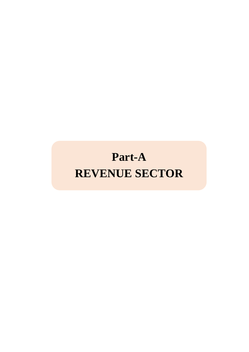# **Part-A REVENUE SECTOR**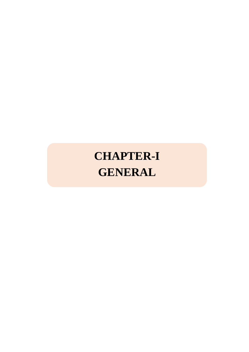# **CHAPTER-I GENERAL**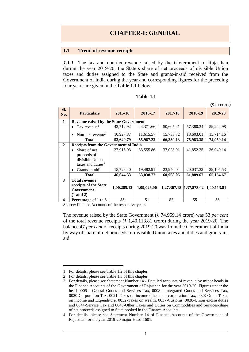## **1.1 Trend of revenue receipts**

*1.1.1* The tax and non-tax revenue raised by the Government of Rajasthan during the year 2019-20, the State's share of net proceeds of divisible Union taxes and duties assigned to the State and grants-in-aid received from the Government of India during the year and corresponding figures for the preceding four years are given in the **Table 1.1** below:

|                         |                                                                                     |             |             |             |             | (₹ in crore) |
|-------------------------|-------------------------------------------------------------------------------------|-------------|-------------|-------------|-------------|--------------|
| Sl.<br>No.              | <b>Particulars</b>                                                                  | 2015-16     | 2016-17     | 2017-18     | 2018-19     | 2019-20      |
| 1                       | <b>Revenue raised by the State Government</b>                                       |             |             |             |             |              |
|                         | Tax revenue <sup>1</sup>                                                            | 42,712.92   | 44,371.66   | 50,605.41   | 57,380.34   | 59,244.98    |
|                         | Non-tax revenue <sup>2</sup><br>٠                                                   | 10,927.87   | 11,615.57   | 15,733.72   | 18,603.01   | 15,714.16    |
|                         | <b>Total</b>                                                                        | 53,640.79   | 55,987.23   | 66,339.13   | 75,983.35   | 74,959.14    |
| $\mathbf{2}$            | <b>Receipts from the Government of India</b>                                        |             |             |             |             |              |
|                         | Share of net<br>proceeds of<br>divisible Union<br>taxes and duties $3$              | 27,915.93   | 33,555.86   | 37,028.01   | 41,852.35   | 36,049.14    |
|                         | Grants-in-aid <sup>4</sup><br>٠                                                     | 18,728.40   | 19,482.91   | 23,940.04   | 20,037.32   | 29,105.53    |
|                         | <b>Total</b>                                                                        | 46,644.33   | 53,038.77   | 60,968.05   | 61,889.67   | 65,154.67    |
| 3                       | <b>Total revenue</b><br>receipts of the State<br>Government<br>$(1 \text{ and } 2)$ | 1,00,285.12 | 1,09,026.00 | 1,27,307.18 | 1,37,873.02 | 1,40,113.81  |
| $\overline{\mathbf{4}}$ | Percentage of 1 to 3                                                                | 53          | 51          | 52          | 55          | 53           |

#### **Table 1.1**

Source: Finance Accounts of the respective years.

The revenue raised by the State Government ( $\bar{\tau}$  74,959.14 crore) was 53 *per cent* of the total revenue receipts  $(\bar{\mathbf{\tau}} 1,40,113.81$  crore) during the year 2019-20. The balance 47 *per cent* of receipts during 2019-20 was from the Government of India by way of share of net proceeds of divisible Union taxes and duties and grants-inaid.

<u>.</u>

<sup>1</sup> For details, please see Table 1.2 of this chapter.

<sup>2</sup> For details, please see Table 1.3 of this chapter.

<sup>3</sup> For details, please see Statement Number 14 - Detailed accounts of revenue by minor heads in the Finance Accounts of the Government of Rajasthan for the year 2019-20. Figures under the head 0005 - Central Goods and Services Tax, 0008 - Integrated Goods and Services Tax, 0020-Corporation Tax, 0021-Taxes on income other than corporation Tax, 0028-Other Taxes on income and Expenditure, 0032-Taxes on wealth, 0037-Customs, 0038-Union excise duties and 0044-Service Tax and 0045-Other Taxes and Duties on Commodities and Services-share of net proceeds assigned to State booked in the Finance Accounts.

<sup>4</sup> For details, please see Statement Number 14 of Finance Accounts of the Government of Rajasthan for the year 2019-20 major Head-1601.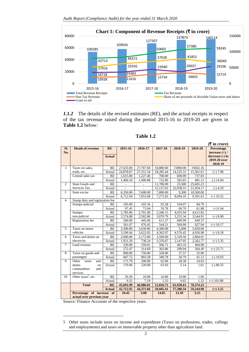

*1.1.2* The details of the revised estimates (RE), and the actual receipts in respect of the tax revenue raised during the period 2015-16 to 2019-20 are given in **Table 1.2** below:

|                |                                 |               |                        |                        |                        |                       |                       | $(\bar{\bar{\mathbf{x}}}$ in crore) |
|----------------|---------------------------------|---------------|------------------------|------------------------|------------------------|-----------------------|-----------------------|-------------------------------------|
| Sl.            | <b>Heads of revenue</b>         | <b>RE</b>     | 2015-16                | 2016-17                | 2017-18                | 2018-19               | 2019-20               | Percentage                          |
| No.            |                                 |               |                        |                        |                        |                       |                       | increase $(+)$ /                    |
|                |                                 | <b>Actual</b> |                        |                        |                        |                       |                       | decrease (-) in                     |
|                |                                 |               |                        |                        |                        |                       |                       | 2019-20 over                        |
| $\mathbf{1}$   | Taxes on sales,                 |               |                        |                        |                        |                       | 19262.16              | 2018-19                             |
|                | trade, etc.                     | RE<br>Actual  | 27,635.00<br>24,878.67 | 27,767.60<br>27,151.54 | 18,800.00<br>18,285.44 | 15900.00<br>14,225.31 | 15,361.61             | $(+) 7.98$                          |
|                | Central sales tax               | RE            | 1,615.00               | 1,227.40               | 700.00                 | 600.00                | 737.83                |                                     |
|                |                                 |               | 1,466.10               | 1,406.88               | 722.80                 | 565.65                | 481.15                | $(-)$ 14.94                         |
| $\overline{c}$ | State Goods and                 | Actual<br>RE  |                        |                        | 11,700.00              | 23,500                | 25,605.23             |                                     |
|                | Services Tax.                   |               | $\overline{a}$         |                        | 12,137.02              | 22,938.33             | 21,954.17             | $(-)$ 4.29                          |
| $\overline{3}$ | State excise                    | Actual<br>RE  | 6,350.00               | 7,600.00               | 7,800.00               | 9,300                 | 10,500.00             |                                     |
|                |                                 | Actual        |                        | 7,053.68               | 7,275.83               |                       |                       |                                     |
| $\overline{4}$ | Stamp duty and registration fee |               | 6,712.94               |                        |                        | 8,694.10              | 9,591.63              | $(+)$ 10.32                         |
|                | Stamps-judicial                 | RE            | 105.00                 | 103.34                 | 92.58                  | 104.07                | 84.79                 |                                     |
|                |                                 | Actual        | 97.45                  | 73.94                  | 59.78                  | 60.70                 | 61.88                 | $(+)1.94$                           |
|                | Stamps-                         | RE            | 2,785.00               | 2,701.00               | 3,346.15               | 4,035.94              | 4,615.82              |                                     |
|                | non-judicial                    | Actual        | 2,574.88               | 2,502.86               | 3,070.79               | 3,255.34              | 3,544.91              | $(+) 8.90$                          |
|                | Registration fee                | RE            | 560.00                 | 445.66                 | 611.27                 | 609.99                | 649.37                |                                     |
|                |                                 | Actual        | 561.67                 | 476.45                 | 544.21                 | 569.99                | 627.94                | $(+) 10.17$                         |
| 5              | Taxes on motor                  | RE            | $\overline{3,300.00}$  | $\overline{3,650.00}$  | 4,300.00               | $\overline{5,000}$    | $\overline{5,}650.00$ |                                     |
|                | vehicles                        | Actual        | 3,199.44               | 3,622.83               | 4,362.97               | 4,576.45              | 4,950.98              | $(+) 8.18$                          |
| 6              | Taxes and duties on             | <b>RE</b>     | 2,000.00               | 2,172.00               | 3,500.00               | 2,339.50              | 2,804.01              |                                     |
|                | electricity                     | Actual        | 1,921.29               | 738.24                 | 3,376.67               | 2,147.95              | 2,262.77              | $(+) 5.35$                          |
| $\tau$         | Land revenue                    | RE            | 320.00                 | 359.01                 | 566.71                 | 463.16                | 404.98                |                                     |
|                |                                 | Actual        | 272.47                 | 314.69                 | 363.86                 | 289.94                | 364.49                | $(+) 25.71$                         |
| 8              | Taxes on goods and              | RE            | 800.00                 | 750.00                 | 328.00                 | 37.57                 | 35.00                 |                                     |
|                | passengers                      | Actual        | 847.72                 | 803.28                 | 340.78                 | 50.79                 | 41.12                 | $(-)$ 19.03                         |
| 9              | Other<br>and<br>taxes           | RE            | 171.79                 | 200.00                 | 62.00                  | 28.38                 | 24.03                 |                                     |
|                | duties<br>on                    | Actual        | 170.96                 | 220.08                 | 63.93                  | 5.14                  | 1.01                  | $(-) 80.35$                         |
|                | commodities<br>and              |               |                        |                        |                        |                       |                       |                                     |
|                | services                        |               |                        |                        |                        |                       |                       |                                     |
| 10             | Other taxes <sup>5</sup> , etc. | RE            | 50.20                  | 10.00                  | 10.00                  | 10.00                 | 1.00                  |                                     |
|                |                                 | Actual        | 9.32                   | 7.19                   | 1.33                   | 0.65                  | 1.32                  | $(+)$ 103.08                        |
|                | <b>Total</b>                    | <b>RE</b>     | 45,691.99              | 46,986.01              | 51,816.71              | 61,928.61             | 70,374.22             |                                     |
|                |                                 | <b>Actual</b> | 42,712.92              | 44,371.66              | 50,605.41              | 57,380.34             | 59,244.98             | $(+)$ 3.25                          |
|                | Percentage of increase          | of            | 10.45                  | 3.88                   | 14.05                  | 13.39                 | 3.25                  |                                     |
|                | actual over previous vear       |               |                        |                        |                        |                       |                       |                                     |

| Table 1 |  |
|---------|--|
|---------|--|

Source: Finance Accounts of the respective years.

1

<sup>5</sup> Other taxes include taxes on income and expenditure (Taxes on professions, trades, callings and employments) and taxes on immovable property other than agriculture land.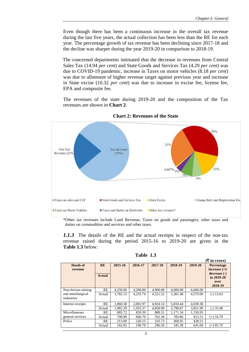Even though there has been a continuous increase in the overall tax revenue during the last five years, the actual collection has been less than the RE for each year. The percentage growth of tax revenue has been declining since 2017-18 and the decline was sharper during the year 2019-20 in comparison to 2018-19.

The concerned departments intimated that the decrease in revenues from Central Sales Tax (14.94 *per cent*) and State Goods and Services Tax (4.29 *per cent*) was due to COVID-19 pandemic, increase in Taxes on motor vehicles (8.18 *per cent*) was due to allotment of higher revenue target against previous year and increase in State excise (10.32 *per cent*) was due to increase in excise fee, license fee, EPA and composite fee.

The revenues of the state during 2019-20 and the composition of the Tax revenues are shown in **Chart 2**.



**Chart 2: Revenues of the State**

\*Other tax revenues include Land Revenue, Taxes on goods and passengers, other taxes and duties on commodities and services and other taxes.

*1.1.3* The details of the RE and the actual receipts in respect of the non-tax revenue raised during the period 2015-16 to 2019-20 are given in the **Table 1.3** below:

| <b>Table</b> | 1.3 |
|--------------|-----|
|--------------|-----|

|                                 |                            |          |          |          |          |          | $(\bar{\mathbf{\mathsf{F}}}$ in crore)                                         |
|---------------------------------|----------------------------|----------|----------|----------|----------|----------|--------------------------------------------------------------------------------|
| <b>Heads of</b><br>revenue      | <b>RE</b><br><b>Actual</b> | 2015-16  | 2016-17  | 2017-18  | 2018-19  | 2019-20  | Percentage<br>increase $(+)/$<br>decrease (-)<br>in 2019-20<br>over<br>2018-19 |
| Non-ferrous mining              | <b>RE</b>                  | 4,250.00 | 4,200.00 | 4,900.00 | 6,000.00 | 6,600.00 |                                                                                |
| and metallurgical<br>industries | Actual                     | 3.782.13 | 4.233.74 | 4.521.52 | 5.301.48 | 4,579.09 | $(-) 13.63$                                                                    |
| Interest receipts               | RE                         | 1.860.58 | 2,002.97 | 4.924.14 | 5.810.44 | 4.039.38 |                                                                                |
|                                 | Actual                     | 1.982.39 | 1.933.37 | 4,858.90 | 5.790.87 | 3.851.99 | $(-)$ 33.48                                                                    |
| Miscellaneous                   | <b>RE</b>                  | 885.72   | 859.39   | 888.31   | 1.171.34 | 1,150.93 |                                                                                |
| general services                | Actual                     | 700.90   | 660.70   | 762.36   | 783.86   | 915.51   | $(+)$ 16.79                                                                    |
| Police                          | <b>RE</b>                  | 213.00   | 220.15   | 333.73   | 360.95   | 428.51   |                                                                                |
|                                 | Actual                     | 162.02   | 190.78   | 296.56   | 345.38   | 641.68   | $(+)$ 85.79                                                                    |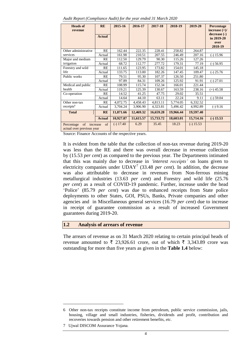|  | Audit Report (Compliance Audit) for the year ended 31 March 2020 |
|--|------------------------------------------------------------------|
|  |                                                                  |

| <b>Heads of</b><br>revenue                                      | <b>RE</b><br><b>Actual</b> | 2015-16     | 2016-17   | 2017-18   | 2018-19   | 2019-20     | Percentage<br>increase $(+)/$<br>decrease (-)<br>in 2019-20<br>over |
|-----------------------------------------------------------------|----------------------------|-------------|-----------|-----------|-----------|-------------|---------------------------------------------------------------------|
|                                                                 |                            |             |           |           |           |             | 2018-19                                                             |
| Other administrative                                            | RE                         | 162.44      | 222.35    | 228.41    | 258.82    | 264.87      |                                                                     |
| services                                                        | Actual                     | 161.98      | 210.51    | 207.55    | 246.49    | 207.16      | $(-)$ 15.96                                                         |
| Major and medium                                                | <b>RE</b>                  | 112.50      | 129.79    | 90.30     | 115.26    | 127.26      |                                                                     |
| irrigation                                                      | Actual                     | 68.72       | 112.77    | 277.72    | 179.31    | 77.19       | $(-)$ 56.95                                                         |
| Forestry and wild                                               | RE                         | 111.65      | 123.95    | 173.82    | 154.01    | 145.18      |                                                                     |
| life                                                            | Actual                     | 133.75      | 113.00    | 182.26    | 147.45    | 109.47      | $(-)$ 25.76                                                         |
| Public works                                                    | RE                         | 79.51       | 95.30     | 107.37    | 126.50    | 251.80      |                                                                     |
|                                                                 | Actual                     | 97.89       | 84.31     | 109.26    | 125.92    | 91.91       | $(-) 27.01$                                                         |
| Medical and public                                              | RE                         | 108.99      | 115.74    | 152.34    | 166.01    | 221.44      |                                                                     |
| health                                                          | Actual                     | 119.21      | 125.39    | 130.67    | 163.59    | 238.16      | $(+)$ 45.58                                                         |
| Co-operation                                                    | RE                         | 14.52       | 41.25     | 47.75     | 29.02     | 35.51       |                                                                     |
|                                                                 | Actual                     | 14.64       | 44.10     | 63.11     | 22.24     | 9.11        | $(-)$ 59.04                                                         |
| Other non-tax                                                   | RE                         | 4,072.75    | 4,458.43  | 4,813.11  | 5,774.05  | 6,332.52    |                                                                     |
| receipts <sup>6</sup>                                           | Actual                     | 3,704.24    | 3,906.90  | 4,323.81  | 5,496.42  | 4,992.89    | $(-) 9.16$                                                          |
| <b>Total</b>                                                    | <b>RE</b>                  | 11,871.66   | 12,469.32 | 16,659.28 | 19,966.44 | 19,597.40   |                                                                     |
|                                                                 | <b>Actual</b>              | 10,927.87   | 11,615.57 | 15,733.72 | 18,603.01 | 15,714.16   | $(-) 15.53$                                                         |
| of<br>increase<br>of<br>Percentage<br>actual over previous year |                            | $(-) 17.40$ | 6.29      | 35.45     | 18.23     | $(-) 15.53$ |                                                                     |

Source: Finance Accounts of the respective years.

It is evident from the table that the collection of non-tax revenue during 2019-20 was less than the RE and there was overall decrease in revenue collection by (15.53 *per cent*) as compared to the previous year. The Departments intimated that this was mainly due to decrease in *'interest receipts'* on loans given to electricity companies under UDAY<sup>7</sup> (33.48 *per cent*). In addition, the decrease was also attributable to decrease in revenues from Non-ferrous mining metallurgical industries (13.63 *per cent*) and Forestry and wild life (25.76 *per cent*) as a result of COVID-19 pandemic. Further, increase under the head 'Police' (85.79 *per cent*) was due to enhanced receipts from State police deployments to other States, GOI, PSUs, Banks, Private companies and other agencies and in Miscellaneous general services (16.79 *per cent*) due to increase in receipt of guarantee commission as a result of increased Government guarantees during 2019-20.

#### **1.2 Analysis of arrears of revenue**

The arrears of revenue as on 31 March 2020 relating to certain principal heads of revenue amounted to  $\overline{\xi}$  23,926.61 crore, out of which  $\overline{\xi}$  3,343.89 crore was outstanding for more than five years as given in the **Table 1.4** below:

1

<sup>6</sup> Other non-tax receipts constitute income from petroleum, public service commission, jails, housing, village and small industries, fisheries, dividends and profit, contribution and recoveries towards pension and other retirement benefits, *etc.*

<sup>7</sup> Ujwal DISCOM Assurance Yojana.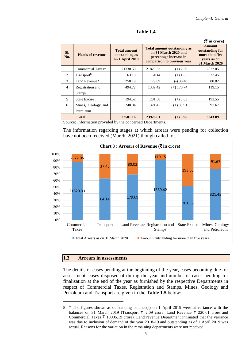|                          |                         |                                                          |                                                                                                                     |                                                                                           | (₹ in crore) |
|--------------------------|-------------------------|----------------------------------------------------------|---------------------------------------------------------------------------------------------------------------------|-------------------------------------------------------------------------------------------|--------------|
| SI.<br>No.               | <b>Heads of revenue</b> | <b>Total amount</b><br>outstanding as<br>on 1 April 2019 | <b>Total amount outstanding as</b><br>on 31 March 2020 and<br>percentage increase in<br>comparison to previous year | <b>Amount</b><br>outstanding for<br>more than five<br>years as on<br><b>31 March 2020</b> |              |
| 1                        | Commercial Taxes*       | 21330.59                                                 | 21820.33                                                                                                            | $(+) 2.30$                                                                                | 2822.05      |
| $\mathfrak{D}$           | Transport <sup>8</sup>  | 63.10                                                    | 64.14                                                                                                               | $(+)$ 1.65                                                                                | 37.45        |
| $\mathcal{F}$            | Land Revenue*           | 258.19                                                   | 179.69                                                                                                              | $(-)$ 30.40                                                                               | 80.02        |
| $\overline{4}$           | Registration and        | 494.72                                                   | 1339.42                                                                                                             | $(+)$ 170.74                                                                              | 119.15       |
|                          | <b>Stamps</b>           |                                                          |                                                                                                                     |                                                                                           |              |
| $\overline{\phantom{0}}$ | <b>State Excise</b>     | 194.52                                                   | 201.58                                                                                                              | $(+)$ 3.63                                                                                | 193.55       |
| 6                        | Mines, Geology and      | 240.04                                                   | 321.45                                                                                                              | $(+)$ 33.91                                                                               | 91.67        |
|                          | Petroleum               |                                                          |                                                                                                                     |                                                                                           |              |
|                          | <b>Total</b>            | 22581.16                                                 | 23926.61                                                                                                            | $(+)$ 5.96                                                                                | 3343.89      |

**Table 1.4**

Source**:** Information provided by the concerned Departments.

The information regarding stages at which arrears were pending for collection have not been received (March 2021) though called for.



#### **1.3 Arrears in assessments**

<u>.</u>

The details of cases pending at the beginning of the year, cases becoming due for assessment, cases disposed of during the year and number of cases pending for finalisation at the end of the year as furnished by the respective Departments in respect of Commercial Taxes, Registration and Stamps, Mines, Geology and Petroleum and Transport are given in the **Table 1.5** below:

<sup>8</sup> \* The figures shown as outstanding balance(s) on 1 April 2019 were at variance with the balances on 31 March 2019 (Transport  $\bar{\xi}$  2.09 crore, Land Revenue  $\bar{\xi}$  220.61 crore and Commercial Taxes  $\overline{\tau}$  10005.19 crore). Land revenue Department intimated that the variance was due to inclusion of demand of the year 2018-19 and outstanding as of 1 April 2019 was actual. Reasons for the variation in the remaining departments were not received.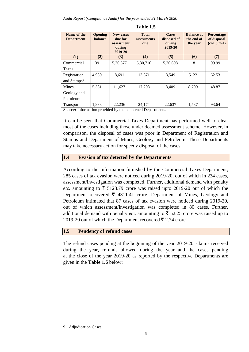| Name of the<br><b>Department</b>        | <b>Opening</b><br><b>balance</b> | <b>New cases</b><br>due for<br>assessment<br>during<br>2019-20 | <b>Total</b><br>assessments<br>due | <b>Cases</b><br>disposed of<br>during<br>2019-20 | <b>Balance at</b><br>the end of<br>the year | <b>Percentage</b><br>of disposal<br>$\left(\text{col. } 5 \text{ to } 4\right)$ |
|-----------------------------------------|----------------------------------|----------------------------------------------------------------|------------------------------------|--------------------------------------------------|---------------------------------------------|---------------------------------------------------------------------------------|
| (1)                                     | (2)                              | (3)                                                            | (4)                                | (5)                                              | (6)                                         | (7)                                                                             |
| Commercial<br>Taxes                     | 39                               | 5,30,677                                                       | 5,30,716                           | 5,30,698                                         | 18                                          | 99.99                                                                           |
| Registration<br>and Stamps <sup>9</sup> | 4,980                            | 8,691                                                          | 13,671                             | 8.549                                            | 5122                                        | 62.53                                                                           |
| Mines,<br>Geology and<br>Petroleum      | 5,581                            | 11,627                                                         | 17,208                             | 8,409                                            | 8.799                                       | 48.87                                                                           |
| <b>Transport</b>                        | 1.938                            | 22,236                                                         | 24.174                             | 22.637                                           | 1.537                                       | 93.64                                                                           |

**Table 1.5**

Source**:** Information provided by the concerned Departments.

It can be seen that Commercial Taxes Department has performed well to clear most of the cases including those under deemed assessment scheme. However, in comparison, the disposal of cases was poor in Department of Registration and Stamps and Department of Mines, Geology and Petroleum. These Departments may take necessary action for speedy disposal of the cases.

#### **1.4 Evasion of tax detected by the Departments**

According to the information furnished by the Commercial Taxes Department, 285 cases of tax evasion were noticed during 2019-20, out of which in 234 cases, assessment/investigation was completed. Further, additional demand with penalty *etc.* amounting to  $\bar{\tau}$  5123.79 crore was raised upto 2019-20 out of which the Department recovered  $\bar{\tau}$  4311.41 crore. Department of Mines, Geology and Petroleum intimated that 87 cases of tax evasion were noticed during 2019-20, out of which assessment/investigation was completed in 80 cases. Further, additional demand with penalty *etc*. amounting to  $\bar{\tau}$  52.25 crore was raised up to 2019-20 out of which the Department recovered  $\bar{\tau}$  2.74 crore.

#### **1.5 Pendency of refund cases**

The refund cases pending at the beginning of the year 2019-20, claims received during the year, refunds allowed during the year and the cases pending at the close of the year 2019-20 as reported by the respective Departments are given in the **Table 1.6** below:

<u>.</u>

<sup>9</sup> Adjudication Cases.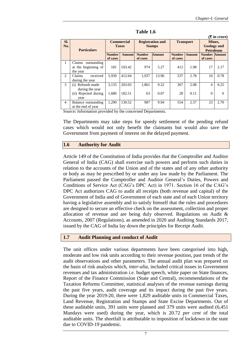$\sigma$  in crore)

|                | $\lambda$ in crore,  |                   |               |               |                         |               |                  |                      |          |  |
|----------------|----------------------|-------------------|---------------|---------------|-------------------------|---------------|------------------|----------------------|----------|--|
| SI.            |                      | <b>Commercial</b> |               |               | <b>Registration and</b> |               | <b>Transport</b> |                      | Mines,   |  |
| No.            |                      |                   | <b>Taxes</b>  |               | <b>Stamps</b>           |               |                  | <b>Geology</b> and   |          |  |
|                | <b>Particulars</b>   |                   |               |               |                         |               |                  | <b>Petroleum</b>     |          |  |
|                |                      | <b>Number</b>     | <b>Amount</b> | <b>Number</b> | <b>Amount</b>           | <b>Number</b> | <b>Amount</b>    | <b>Number Amount</b> |          |  |
|                |                      | of cases          |               | of cases      |                         | of cases      |                  | of cases             |          |  |
| 1              | Claims outstanding   |                   |               |               |                         |               |                  |                      |          |  |
|                | at the beginning of  | 181               | 103.42        | 974           | 5.27                    | 412           | 1.98             | 17                   | 2.17     |  |
|                | the year             |                   |               |               |                         |               |                  |                      |          |  |
| $\overline{c}$ | received<br>Claims   | 5.930             | 412.64        | 1,937         | 13.96                   | 537           | 2.78             | 10                   | 0.78     |  |
|                | during the year      |                   |               |               |                         |               |                  |                      |          |  |
| 3              | (i) Refunds made     | 3.135             | 203.03        | 1,861         | 9.22                    | 367           | 2.08             | 4                    | 0.25     |  |
|                | during the year      |                   |               |               |                         |               |                  |                      |          |  |
|                | (ii) Rejected during | 1,686             | 182.51        | 63            | 0.07                    | 28            | 0.11             | $\Omega$             | $\Omega$ |  |
|                | year                 |                   |               |               |                         |               |                  |                      |          |  |
| $\overline{4}$ | Balance outstanding  | 1.290             | 130.52        | 987           | 9.94                    | 554           | 2.57             | 23                   | 2.70     |  |
|                | at the end of year   |                   |               |               |                         |               |                  |                      |          |  |

**Table 1.6**

Source**:** Information provided by the concerned Departments.

The Departments may take steps for speedy settlement of the pending refund cases which would not only benefit the claimants but would also save the Government from payment of interest on the delayed payment.

#### **1.6 Authority for Audit**

Article 149 of the Constitution of India provides that the Comptroller and Auditor General of India (CAG) shall exercise such powers and perform such duties in relation to the accounts of the Union and of the states and of any other authority or body as may be prescribed by or under any law made by the Parliament. The Parliament passed the Comptroller and Auditor General's Duties, Powers and Conditions of Service Act (CAG's DPC Act) in 1971. Section 16 of the CAG's DPC Act authorizes CAG to audit all receipts (both revenue and capital) of the Government of India and of Government of each state and of each Union territory having a legislative assembly and to satisfy himself that the rules and procedures are designed to secure an effective check on the assessment, collection and proper allocation of revenue and are being duly observed. Regulations on Audit & Accounts, 2007 (Regulations), as amended in 2020 and Auditing Standards 2017, issued by the CAG of India lay down the principles for Receipt Audit.

#### **1.7 Audit Planning and conduct of Audit**

The unit offices under various departments have been categorised into high, moderate and low risk units according to their revenue position, past trends of the audit observations and other parameters. The annual audit plan was prepared on the basis of risk analysis which, *inter-alia,* included critical issues in Government revenues and tax administration *i.e.* budget speech, white paper on State finances, Report of the Finance Commission (State and Central), recommendations of the Taxation Reforms Committee, statistical analyses of the revenue earnings during the past five years, audit coverage and its impact during the past five years. During the year 2019-20, there were 1,829 auditable units in Commercial Taxes, Land Revenue, Registration and Stamps and State Excise Departments. Out of these auditable units, 391 units were planned and 379 units were audited (6,451 Mandays were used) during the year, which is 20.72 *per cent* of the total auditable units. The shortfall is attributable to imposition of lockdown in the state due to COVID-19 pandemic.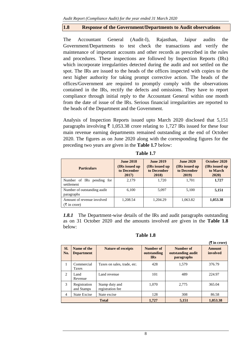## **1.8 Response of the Government/Departments to Audit observations**

The Accountant General (Audit-I), Rajasthan, Jaipur audits the Government/Departments to test check the transactions and verify the maintenance of important accounts and other records as prescribed in the rules and procedures. These inspections are followed by Inspection Reports (IRs) which incorporate irregularities detected during the audit and not settled on the spot. The IRs are issued to the heads of the offices inspected with copies to the next higher authority for taking prompt corrective action. The heads of the offices/Government are required to promptly comply with the observations contained in the IRs, rectify the defects and omissions. They have to report compliance through initial reply to the Accountant General within one month from the date of issue of the IRs. Serious financial irregularities are reported to the heads of the Department and the Government.

Analysis of Inspection Reports issued upto March 2020 disclosed that 5,151 paragraphs involving  $\bar{\tau}$  1,053.38 crore relating to 1,727 IRs issued for these four main revenue earning departments remained outstanding at the end of October 2020. The figures as on June 2020 along with the corresponding figures for the preceding two years are given in the **Table 1.7** below:

| <b>Particulars</b>                                    | <b>June 2018</b><br>(IRs issued up<br>to December<br>2017) | <b>June 2019</b><br>(IRs issued up)<br>to December<br>2018) | <b>June 2020</b><br>(IRs issued up)<br>to December<br>2019) | October 2020<br>(IRs issued up)<br>to March<br>2020 |
|-------------------------------------------------------|------------------------------------------------------------|-------------------------------------------------------------|-------------------------------------------------------------|-----------------------------------------------------|
| Number of IRs pending for<br>settlement               | 2.179                                                      | 1.720                                                       | 1.701                                                       | 1,727                                               |
| Number of outstanding audit<br>paragraphs             | 6.100                                                      | 5,097                                                       | 5.100                                                       | 5,151                                               |
| Amount of revenue involved<br>$(\bar{\tau}$ in crore) | 1.208.54                                                   | 1.204.29                                                    | 1,063.82                                                    | 1,053.38                                            |

**Table 1.7**

*1.8.1* The Department-wise details of the IRs and audit paragraphs outstanding as on 31 October 2020 and the amounts involved are given in the **Table 1.8** below:

**Table 1.8**

|                |                                  |                                    |                                        |                                              | ( <b>₹</b> in crore)      |
|----------------|----------------------------------|------------------------------------|----------------------------------------|----------------------------------------------|---------------------------|
| SI.<br>No.     | Name of the<br><b>Department</b> | <b>Nature of receipts</b>          | Number of<br>outstanding<br><b>IRs</b> | Number of<br>outstanding audit<br>paragraphs | <b>Amount</b><br>involved |
| $\mathbf{1}$   | Commercial<br>Taxes              | Taxes on sales, trade, etc.        | 428                                    | 1.579                                        | 376.79                    |
| 2              | Land<br>Revenue                  | Land revenue                       | 101                                    | 489                                          | 224.97                    |
| 3              | Registration<br>and Stamps       | Stamp duty and<br>registration fee | 1.070                                  | 2.775                                        | 365.04                    |
| $\overline{4}$ | <b>State Excise</b>              | State excise                       | 128                                    | 308                                          | 86.58                     |
|                |                                  | <b>Total</b>                       | 1,727                                  | 5,151                                        | 1,053.38                  |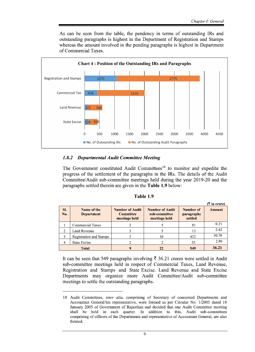As can be seen from the table, the pendency in terms of outstanding IRs and outstanding paragraphs is highest in the Department of Registration and Stamps whereas the amount involved in the pending paragraphs is highest in Department of Commercial Taxes.



## 1.8.2 Departmental Audit Committee Meeting

The Government constituted Audit Committees<sup>10</sup> to monitor and expedite the progress of the settlement of the paragraphs in the IRs. The details of the Audit Committee/Audit sub-committee meetings held during the year 2019-20 and the paragraphs settled therein are given in the **Table 1.9** below:

| Table 1.9 |  |
|-----------|--|
|-----------|--|

| SI.<br>No.     | Name of the<br><b>Department</b> | <b>Number of Audit</b><br><b>Committee</b><br>meetings held | <b>Number of Audit</b><br>sub-committee<br>meetings held | Number of<br>paragraphs<br>settled | <b>Amount</b> |
|----------------|----------------------------------|-------------------------------------------------------------|----------------------------------------------------------|------------------------------------|---------------|
|                | Commercial Taxes                 |                                                             |                                                          | 81                                 | 0.21          |
|                | Land Revenue                     |                                                             |                                                          | 13                                 | 2.42          |
|                | Registration and Stamps          |                                                             | 10                                                       | 422                                | 30.78         |
| $\overline{4}$ | State Excise                     |                                                             |                                                          | 33                                 | 2.80          |
|                | <b>Total</b>                     |                                                             | 22                                                       | 549                                | 36.21         |

It can be seen that 549 paragraphs involving  $\bar{\tau}$  36.21 crores were settled in Audit sub-committee meetings held in respect of Commercial Taxes, Land Revenue, Registration and Stamps and State Excise. Land Revenue and State Excise Departments may organize more Audit Committee/Audit sub-committee meetings to settle the outstanding paragraphs.

<sup>10</sup> Audit Committees, *inter alia*, comprising of Secretary of concerned Departments and Accountant General/his representative, were formed as per Circular No. 1/2005 dated 18 January 2005 of Government of Rajasthan and decided that one Audit Committee meeting shall be held in each quarter. In addition to this, Audit sub-committees comprising of officers of the Departments and representative of Accountant General, are also formed.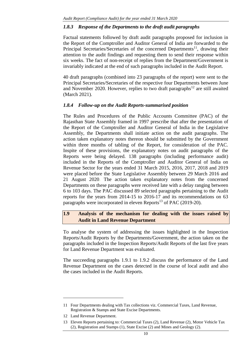## *1.8.3 Response of the Departments to the draft audit paragraphs*

Factual statements followed by draft audit paragraphs proposed for inclusion in the Report of the Comptroller and Auditor General of India are forwarded to the Principal Secretaries/Secretaries of the concerned Departments<sup>11</sup>, drawing their attention to the audit findings and requesting them to send their response within six weeks. The fact of non-receipt of replies from the Department/Government is invariably indicated at the end of such paragraphs included in the Audit Report.

40 draft paragraphs (combined into 23 paragraphs of the report) were sent to the Principal Secretaries/Secretaries of the respective four Departments between June and November 2020. However, replies to two draft paragraphs $^{12}$  are still awaited (March 2021).

## *1.8.4 Follow-up on the Audit Reports-summarised position*

The Rules and Procedures of the Public Accounts Committee (PAC) of the Rajasthan State Assembly framed in 1997 prescribe that after the presentation of the Report of the Comptroller and Auditor General of India in the Legislative Assembly, the Departments shall initiate action on the audit paragraphs. The action taken explanatory notes thereon should be submitted by the Government within three months of tabling of the Report, for consideration of the PAC. Inspite of these provisions, the explanatory notes on audit paragraphs of the Reports were being delayed. 138 paragraphs (including performance audit) included in the Reports of the Comptroller and Auditor General of India on Revenue Sector for the years ended 31 March 2015, 2016, 2017, 2018 and 2019 were placed before the State Legislative Assembly between 29 March 2016 and 21 August 2020. The action taken explanatory notes from the concerned Departments on these paragraphs were received late with a delay ranging between 6 to 103 days. The PAC discussed 89 selected paragraphs pertaining to the Audit reports for the years from 2014-15 to 2016-17 and its recommendations on 63 paragraphs were incorporated in eleven Reports<sup>13</sup> of PAC (2019-20).

## **1.9 Analysis of the mechanism for dealing with the issues raised by Audit in Land Revenue Department**

To analyse the system of addressing the issues highlighted in the Inspection Reports/Audit Reports by the Departments/Government, the action taken on the paragraphs included in the Inspection Reports/Audit Reports of the last five years for Land Revenue Department was evaluated.

The succeeding paragraphs 1.9.1 to 1.9.2 discuss the performance of the Land Revenue Department on the cases detected in the course of local audit and also the cases included in the Audit Reports.

<u>.</u>

<sup>11</sup> Four Departments dealing with Tax collections viz. Commercial Taxes, Land Revenue, Registration & Stamps and State Excise Departments.

<sup>12</sup> Land Revenue Department.

<sup>13</sup> Eleven Reports pertaining to: Commercial Taxes (2), Land Revenue (2), Motor Vehicle Tax (2), Registration and Stamps (1), State Excise (2) and Mines and Geology (2).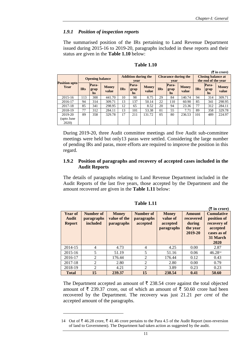**(**` **in crore)**

 $(F$  in crore)

## *1.9.1 Position of inspection reports*

The summarised position of the IRs pertaining to Land Revenue Department issued during 2015-16 to 2019-20, paragraphs included in these reports and their status are given in the **Table 1.10** below:

|                              |                        |                            |                       |                                    |                     |                       |                                     |                            |                       |                                                  |                            | (x in crore)          |
|------------------------------|------------------------|----------------------------|-----------------------|------------------------------------|---------------------|-----------------------|-------------------------------------|----------------------------|-----------------------|--------------------------------------------------|----------------------------|-----------------------|
|                              | <b>Opening balance</b> |                            |                       | <b>Addition during the</b><br>vear |                     |                       | <b>Clearance during the</b><br>vear |                            |                       | <b>Closing balance at</b><br>the end of the year |                            |                       |
| <b>Position upto</b><br>Year | <b>IRs</b>             | Para-<br>grap<br><b>hs</b> | <b>Money</b><br>value | <b>IRs</b>                         | Para-<br>grap<br>hs | <b>Money</b><br>value | <b>IRs</b>                          | Para-<br>grap<br><b>hs</b> | <b>Money</b><br>value | <b>IRs</b>                                       | Para-<br>grap<br><b>hs</b> | <b>Money</b><br>value |
| 2015-16                      | 113                    | 300                        | 441.70                | 10                                 | 98                  | 8.75                  | 29                                  | 84                         | 140.74                | 94                                               | 314                        | 309.71                |
| 2016-17                      | 94                     | 314                        | 309.71                | 13                                 | 137                 | 50.14                 | 22                                  | 110                        | 60.90                 | 85                                               | 341                        | 298.95                |
| 2017-18                      | 85                     | 341                        | 298.95                | 12                                 | 65                  | 8.52                  | 20                                  | 94                         | 23.36                 | 77                                               | 312                        | 284.11                |
| 2018-19                      | 77                     | 312                        | 284.11                | 13                                 | 101                 | 53.38                 | 01                                  | 55                         | 7.71                  | 89                                               | 358                        | 329.78                |
| 2019-20                      | 89                     | 358                        | 329.78                | 17                                 | 211                 | 131.72                | 0.5                                 | 80                         | 236.53                | 101                                              | 489                        | 224.97                |
| (upto June<br>2020)          |                        |                            |                       |                                    |                     |                       |                                     |                            |                       |                                                  |                            |                       |

#### **Table 1.10**

During 2019-20, three Audit committee meetings and five Audit sub-committee meetings were held but only13 paras were settled. Considering the large number of pending IRs and paras, more efforts are required to improve the position in this regard.

## **1.9.2 Position of paragraphs and recovery of accepted cases included in the Audit Reports**

The details of paragraphs relating to Land Revenue Department included in the Audit Reports of the last five years, those accepted by the Department and the amount recovered are given in the **Table 1.11** below:

| Year of<br>Audit<br><b>Report</b> | <b>Number of</b><br><b>paragraphs</b><br>included | <b>Money</b><br>value of the<br><b>paragraphs</b> | Number of<br><b>paragraphs</b><br>accepted | <b>Money</b><br>value of<br>accepted<br><b>paragraphs</b> | <b>Amount</b><br>recovered<br>during<br>the year<br>2019-20 | <b>Cumulative</b><br>position of<br>recovery of<br>accepted<br>cases as of<br>31 March<br>2020 |
|-----------------------------------|---------------------------------------------------|---------------------------------------------------|--------------------------------------------|-----------------------------------------------------------|-------------------------------------------------------------|------------------------------------------------------------------------------------------------|
| 2014-15                           | 4                                                 | 4.73                                              | $\overline{4}$                             | 4.25                                                      | 0.00                                                        | 2.87                                                                                           |
| 2015-16                           | 5                                                 | 51.19                                             | 5                                          | 51.16                                                     | 0.06                                                        | 46.2814                                                                                        |
| 2016-17                           | 2                                                 | 176.44                                            | 2                                          | 176.44                                                    | 0.12                                                        | 0.43                                                                                           |
| 2017-18                           | $\mathfrak{D}$                                    | 2.80                                              | 2                                          | 2.80                                                      | 0.00                                                        | 0.79                                                                                           |
| 2018-19                           | 2                                                 | 4.21                                              | 2                                          | 3.89                                                      | 0.23                                                        | 0.23                                                                                           |
| <b>Total</b>                      | 15                                                | 239.37                                            | 15                                         | 238.54                                                    | 0.41                                                        | 50.60                                                                                          |

**Table 1.11**

The Department accepted an amount of  $\bar{\tau}$  238.54 crore against the total objected amount of  $\bar{\tau}$  239.37 crore, out of which an amount of  $\bar{\tau}$  50.60 crore had been recovered by the Department. The recovery was just 21.21 *per cent* of the accepted amount of the paragraphs.

1

<sup>14</sup> Out of ₹46.28 crore, ₹41.46 crore pertains to the Para 4.5 of the Audit Report (non-reversion of land to Government). The Department had taken action as suggested by the audit.